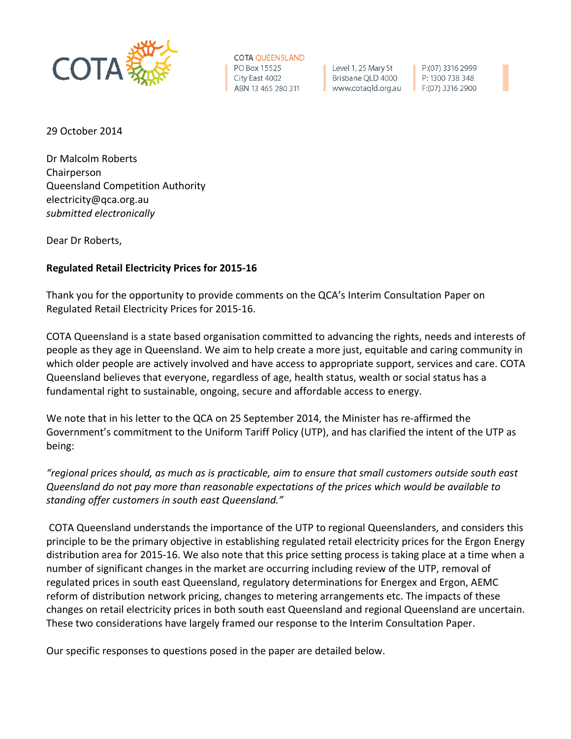

**COTA QUEENSLAND** PO Box 15525 City East 4002 ABN 13 465 280 311

Level 1, 25 Mary St Brisbane QLD 4000 www.cotaqld.org.au

P:(07) 3316 2999 P: 1300 738 348  $F:(07)$  3316 2900

29 October 2014

Dr Malcolm Roberts Chairperson Queensland Competition Authority electricity@qca.org.au *submitted electronically*

Dear Dr Roberts,

## **Regulated Retail Electricity Prices for 2015-16**

Thank you for the opportunity to provide comments on the QCA's Interim Consultation Paper on Regulated Retail Electricity Prices for 2015-16.

COTA Queensland is a state based organisation committed to advancing the rights, needs and interests of people as they age in Queensland. We aim to help create a more just, equitable and caring community in which older people are actively involved and have access to appropriate support, services and care. COTA Queensland believes that everyone, regardless of age, health status, wealth or social status has a fundamental right to sustainable, ongoing, secure and affordable access to energy.

We note that in his letter to the QCA on 25 September 2014, the Minister has re-affirmed the Government's commitment to the Uniform Tariff Policy (UTP), and has clarified the intent of the UTP as being:

*"regional prices should, as much as is practicable, aim to ensure that small customers outside south east Queensland do not pay more than reasonable expectations of the prices which would be available to standing offer customers in south east Queensland."*

COTA Queensland understands the importance of the UTP to regional Queenslanders, and considers this principle to be the primary objective in establishing regulated retail electricity prices for the Ergon Energy distribution area for 2015-16. We also note that this price setting process is taking place at a time when a number of significant changes in the market are occurring including review of the UTP, removal of regulated prices in south east Queensland, regulatory determinations for Energex and Ergon, AEMC reform of distribution network pricing, changes to metering arrangements etc. The impacts of these changes on retail electricity prices in both south east Queensland and regional Queensland are uncertain. These two considerations have largely framed our response to the Interim Consultation Paper.

Our specific responses to questions posed in the paper are detailed below.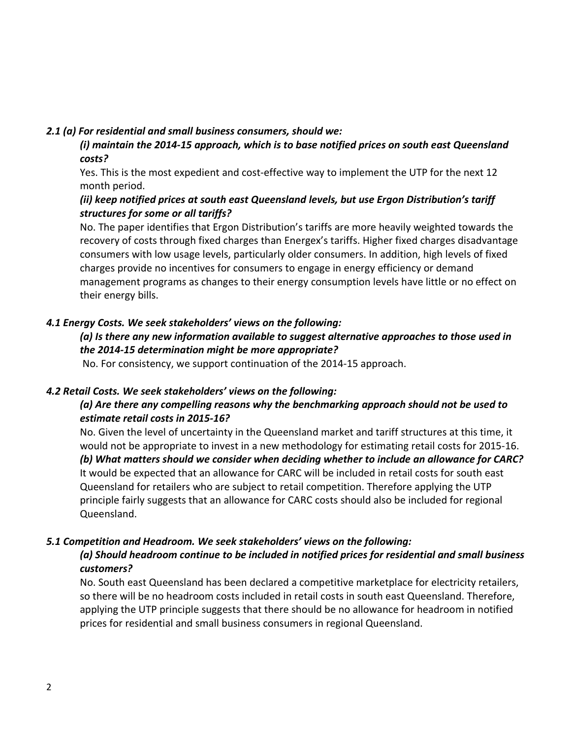#### *2.1 (a) For residential and small business consumers, should we:*

*(i) maintain the 2014-15 approach, which is to base notified prices on south east Queensland costs?*

Yes. This is the most expedient and cost-effective way to implement the UTP for the next 12 month period.

## *(ii) keep notified prices at south east Queensland levels, but use Ergon Distribution's tariff structures for some or all tariffs?*

No. The paper identifies that Ergon Distribution's tariffs are more heavily weighted towards the recovery of costs through fixed charges than Energex's tariffs. Higher fixed charges disadvantage consumers with low usage levels, particularly older consumers. In addition, high levels of fixed charges provide no incentives for consumers to engage in energy efficiency or demand management programs as changes to their energy consumption levels have little or no effect on their energy bills.

### *4.1 Energy Costs. We seek stakeholders' views on the following:*

# *(a) Is there any new information available to suggest alternative approaches to those used in the 2014-15 determination might be more appropriate?*

No. For consistency, we support continuation of the 2014-15 approach.

#### *4.2 Retail Costs. We seek stakeholders' views on the following:*

## *(a) Are there any compelling reasons why the benchmarking approach should not be used to estimate retail costs in 2015-16?*

No. Given the level of uncertainty in the Queensland market and tariff structures at this time, it would not be appropriate to invest in a new methodology for estimating retail costs for 2015-16. *(b) What matters should we consider when deciding whether to include an allowance for CARC?*  It would be expected that an allowance for CARC will be included in retail costs for south east Queensland for retailers who are subject to retail competition. Therefore applying the UTP principle fairly suggests that an allowance for CARC costs should also be included for regional Queensland.

### *5.1 Competition and Headroom. We seek stakeholders' views on the following:*

### *(a) Should headroom continue to be included in notified prices for residential and small business customers?*

No. South east Queensland has been declared a competitive marketplace for electricity retailers, so there will be no headroom costs included in retail costs in south east Queensland. Therefore, applying the UTP principle suggests that there should be no allowance for headroom in notified prices for residential and small business consumers in regional Queensland.